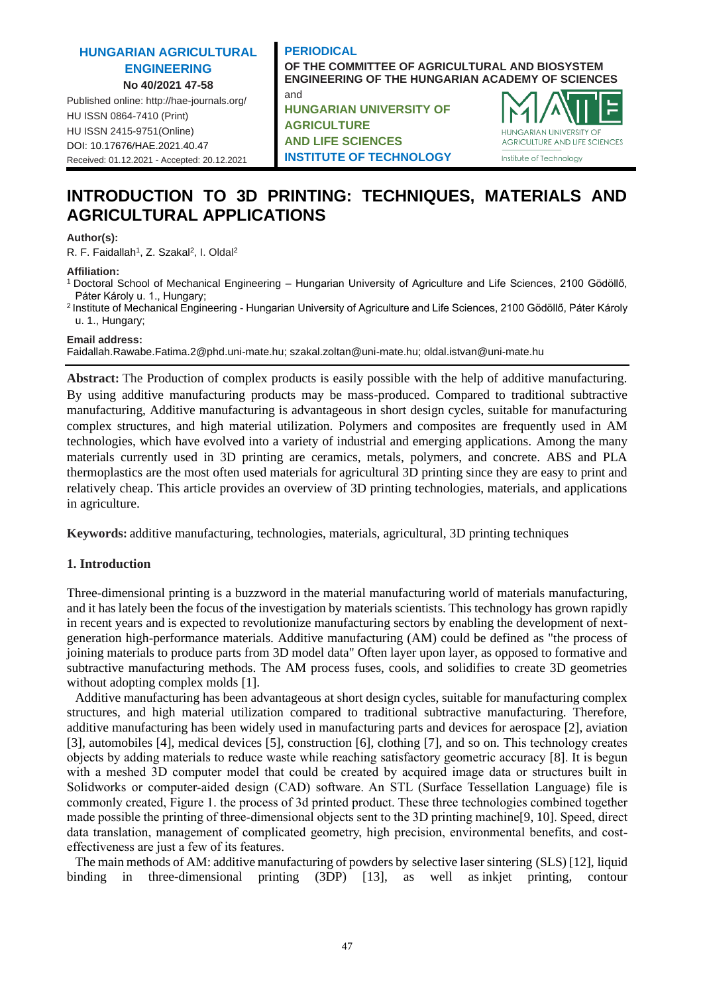#### **HUNGARIAN AGRICULTURAL ENGINEERING No 40/2021 47-58**

Published online: http://hae-journals.org/ HU ISSN 0864-7410 (Print) HU ISSN 2415-9751(Online) [DOI: 10.17676/HAE.2021.40.47](https://doi.org/10.17676/HAE.2021.40.47) Received: 01.12.2021 - Accepted: 20.12.2021

## **PERIODICAL OF THE COMMITTEE OF AGRICULTURAL AND BIOSYSTEM ENGINEERING OF THE HUNGARIAN ACADEMY OF SCIENCES** and

**HUNGARIAN UNIVERSITY OF AGRICULTURE AND LIFE SCIENCES INSTITUTE OF TECHNOLOGY**



# **INTRODUCTION TO 3D PRINTING: TECHNIQUES, MATERIALS AND AGRICULTURAL APPLICATIONS**

#### **Author(s):**

R. F. Faidallah<sup>1</sup>, Z. Szakal<sup>2</sup>, I. Oldal<sup>2</sup>

#### **Affiliation:**

- <sup>1</sup>Doctoral School of Mechanical Engineering Hungarian University of Agriculture and Life Sciences, 2100 Gödöllő, Páter Károly u. 1., Hungary;
- <sup>2</sup>Institute of Mechanical Engineering Hungarian University of Agriculture and Life Sciences, 2100 Gödöllő, Páter Károly u. 1., Hungary;

**Email address:**

Faidallah.Rawabe.Fatima.2@phd.uni-mate.hu; szakal.zoltan@uni-mate.hu; oldal.istvan@uni-mate.hu

**Abstract:** The Production of complex products is easily possible with the help of additive manufacturing. By using additive manufacturing products may be mass-produced. Compared to traditional subtractive manufacturing, Additive manufacturing is advantageous in short design cycles, suitable for manufacturing complex structures, and high material utilization. Polymers and composites are frequently used in AM technologies, which have evolved into a variety of industrial and emerging applications. Among the many materials currently used in 3D printing are ceramics, metals, polymers, and concrete. ABS and PLA thermoplastics are the most often used materials for agricultural 3D printing since they are easy to print and relatively cheap. This article provides an overview of 3D printing technologies, materials, and applications in agriculture.

**Keywords:** additive manufacturing, technologies, materials, agricultural, 3D printing techniques

#### **1. Introduction**

Three-dimensional printing is a buzzword in the material manufacturing world of materials manufacturing, and it has lately been the focus of the investigation by materials scientists. This technology has grown rapidly in recent years and is expected to revolutionize manufacturing sectors by enabling the development of nextgeneration high-performance materials. Additive manufacturing (AM) could be defined as "the process of joining materials to produce parts from 3D model data" Often layer upon layer, as opposed to formative and subtractive manufacturing methods. The AM process fuses, cools, and solidifies to create 3D geometries without adopting complex molds [1].

Additive manufacturing has been advantageous at short design cycles, suitable for manufacturing complex structures, and high material utilization compared to traditional subtractive manufacturing. Therefore, additive manufacturing has been widely used in manufacturing parts and devices for aerospace [2], aviation [3], automobiles [4], medical devices [5], construction [6], clothing [7], and so on. This technology creates objects by adding materials to reduce waste while reaching satisfactory geometric accuracy [8]. It is begun with a meshed 3D computer model that could be created by acquired image data or structures built in Solidworks or computer-aided design (CAD) software. An STL (Surface Tessellation Language) file is commonly created, Figure 1. the process of 3d printed product. These three technologies combined together made possible the printing of three-dimensional objects sent to the 3D printing machine[9, 10]. Speed, direct data translation, management of complicated geometry, high precision, environmental benefits, and costeffectiveness are just a few of its features.

The main methods of AM: additive manufacturing of powders by selective laser sintering (SLS) [12], liquid binding in three-dimensional printing (3DP) [13], as well as inkjet printing, contour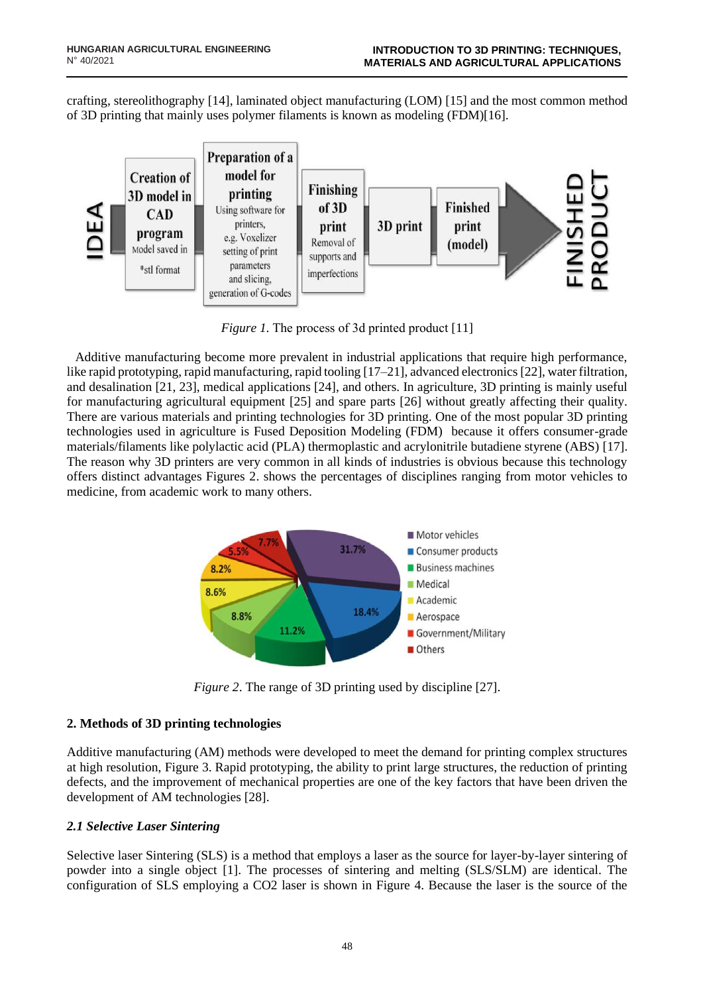crafting, stereolithography [14], laminated object manufacturing (LOM) [15] and the most common method of 3D printing that mainly uses polymer filaments is known as modeling (FDM)[16].



*Figure 1.* The process of 3d printed product [11]

Additive manufacturing become more prevalent in industrial applications that require high performance, like rapid prototyping, rapid manufacturing, rapid tooling [17–21], advanced electronics [22], water filtration, and desalination [21, 23], medical applications [24], and others. In agriculture, 3D printing is mainly useful for manufacturing agricultural equipment [25] and spare parts [26] without greatly affecting their quality. There are various materials and printing technologies for 3D printing. One of the most popular 3D printing technologies used in agriculture is Fused Deposition Modeling (FDM) because it offers consumer-grade materials/filaments like polylactic acid (PLA) thermoplastic and acrylonitrile butadiene styrene (ABS) [17]. The reason why 3D printers are very common in all kinds of industries is obvious because this technology offers distinct advantages Figures 2. shows the percentages of disciplines ranging from motor vehicles to medicine, from academic work to many others.



*Figure 2*. The range of 3D printing used by discipline [27].

## **2. Methods of 3D printing technologies**

Additive manufacturing (AM) methods were developed to meet the demand for printing complex structures at high resolution, Figure 3. Rapid prototyping, the ability to print large structures, the reduction of printing defects, and the improvement of mechanical properties are one of the key factors that have been driven the development of AM technologies [28].

## *2.1 Selective Laser Sintering*

Selective laser Sintering (SLS) is a method that employs a laser as the source for layer-by-layer sintering of powder into a single object [1]. The processes of sintering and melting (SLS/SLM) are identical. The configuration of SLS employing a CO2 laser is shown in Figure 4. Because the laser is the source of the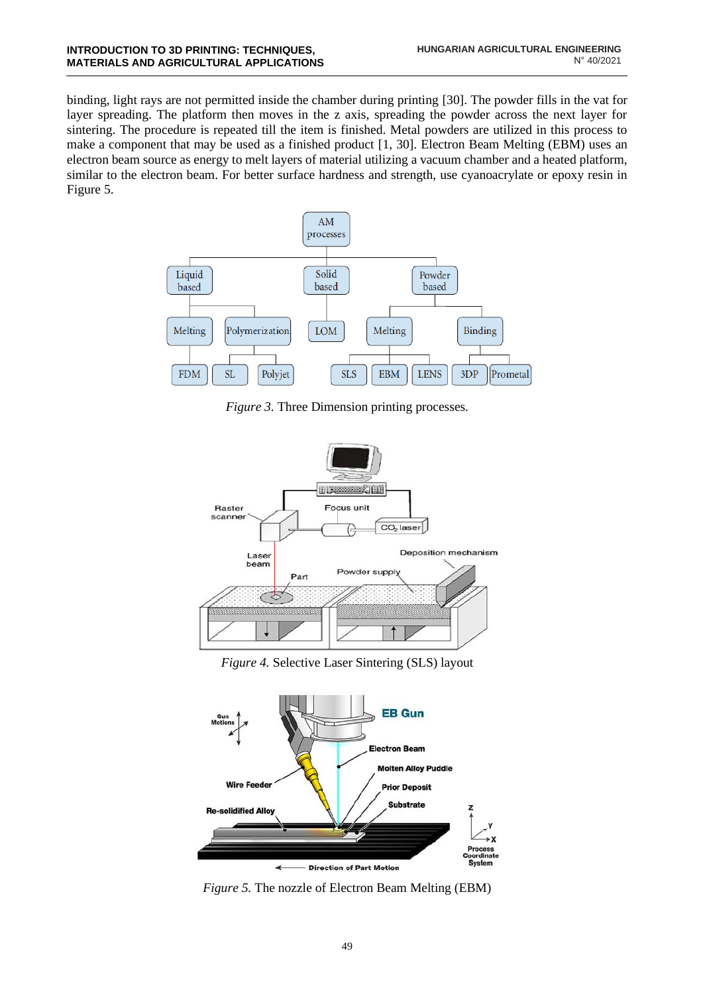binding, light rays are not permitted inside the chamber during printing [30]. The powder fills in the vat for layer spreading. The platform then moves in the z axis, spreading the powder across the next layer for sintering. The procedure is repeated till the item is finished. Metal powders are utilized in this process to make a component that may be used as a finished product [1, 30]. Electron Beam Melting (EBM) uses an electron beam source as energy to melt layers of material utilizing a vacuum chamber and a heated platform, similar to the electron beam. For better surface hardness and strength, use cyanoacrylate or epoxy resin in Figure 5.



*Figure 3.* Three Dimension printing processes.



*Figure 4.* Selective Laser Sintering (SLS) layout



*Figure 5.* The nozzle of Electron Beam Melting (EBM)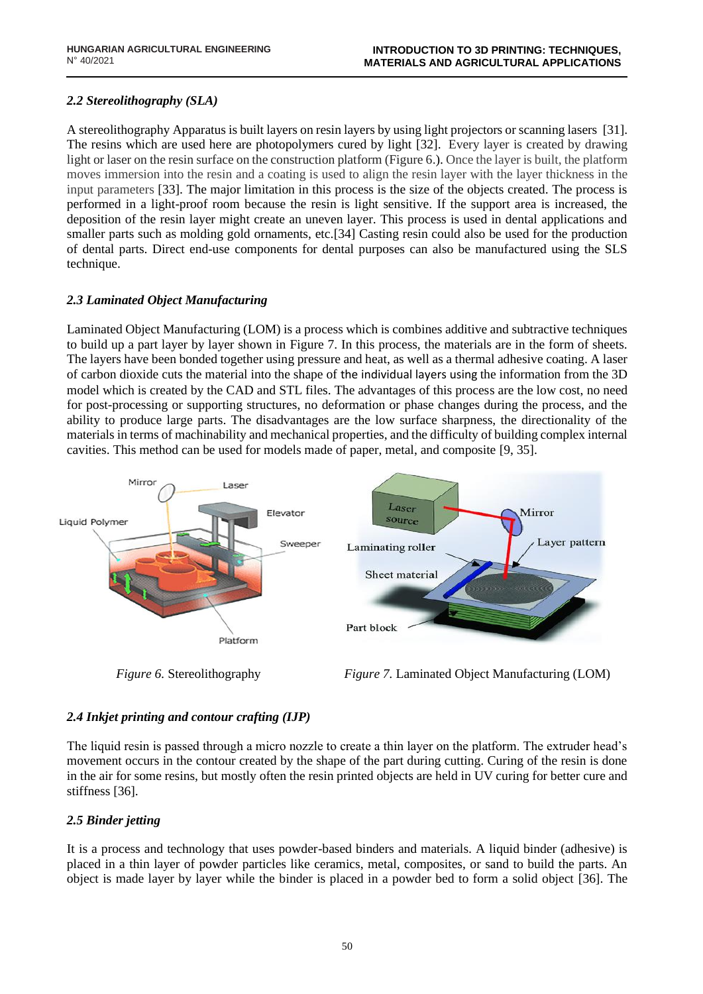## *2.2 Stereolithography (SLA)*

A stereolithography Apparatus is built layers on resin layers by using light projectors or scanning lasers [31]. The resins which are used here are photopolymers cured by light [32]. Every layer is created by drawing light or laser on the resin surface on the construction platform (Figure 6.). Once the layer is built, the platform moves immersion into the resin and a coating is used to align the resin layer with the layer thickness in the input parameters [33]. The major limitation in this process is the size of the objects created. The process is performed in a light-proof room because the resin is light sensitive. If the support area is increased, the deposition of the resin layer might create an uneven layer. This process is used in dental applications and smaller parts such as molding gold ornaments, etc.[34] Casting resin could also be used for the production of dental parts. Direct end-use components for dental purposes can also be manufactured using the SLS technique.

## *2.3 Laminated Object Manufacturing*

Laminated Object Manufacturing (LOM) is a process which is combines additive and subtractive techniques to build up a part layer by layer shown in Figure 7. In this process, the materials are in the form of sheets. The layers have been bonded together using pressure and heat, as well as a thermal adhesive coating. A laser of carbon dioxide cuts the material into the shape of the individual layers using the information from the 3D model which is created by the CAD and STL files. The advantages of this process are the low cost, no need for post-processing or supporting structures, no deformation or phase changes during the process, and the ability to produce large parts. The disadvantages are the low surface sharpness, the directionality of the materials in terms of machinability and mechanical properties, and the difficulty of building complex internal cavities. This method can be used for models made of paper, metal, and composite [9, 35].



*Figure 6.* Stereolithography *Figure 7.* Laminated Object Manufacturing (LOM)

# *2.4 Inkjet printing and contour crafting (IJP)*

The liquid resin is passed through a micro nozzle to create a thin layer on the platform. The extruder head's movement occurs in the contour created by the shape of the part during cutting. Curing of the resin is done in the air for some resins, but mostly often the resin printed objects are held in UV curing for better cure and stiffness [36].

## *2.5 Binder jetting*

It is a process and technology that uses powder-based binders and materials. A liquid binder (adhesive) is placed in a thin layer of powder particles like ceramics, metal, composites, or sand to build the parts. An object is made layer by layer while the binder is placed in a powder bed to form a solid object [36]. The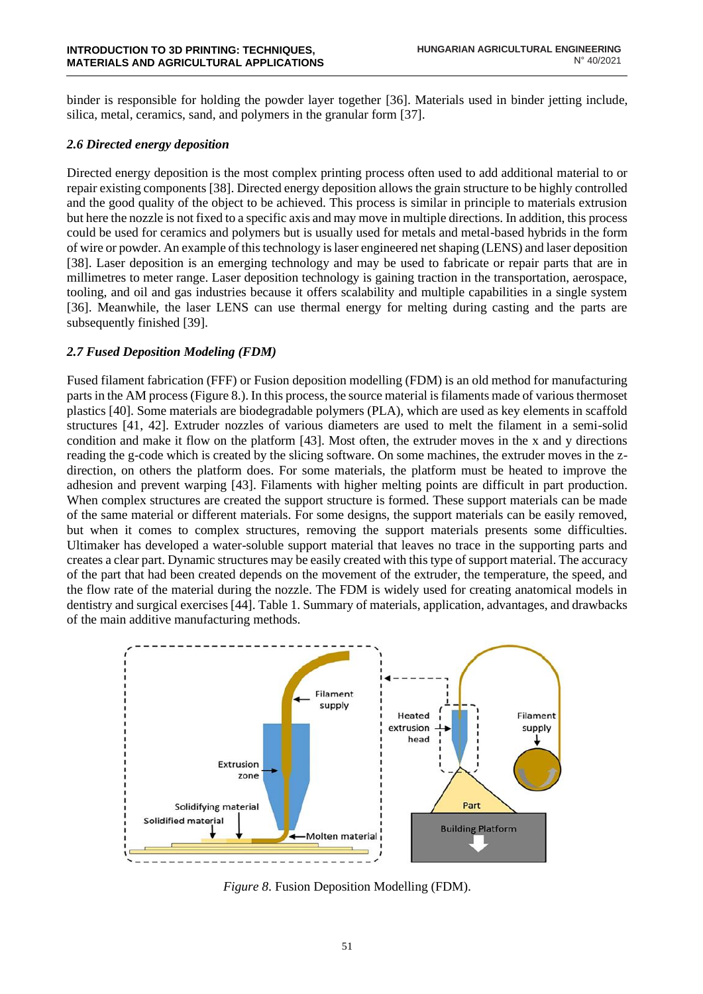binder is responsible for holding the powder layer together [36]. Materials used in binder jetting include, silica, metal, ceramics, sand, and polymers in the granular form [37].

#### *2.6 Directed energy deposition*

Directed energy deposition is the most complex printing process often used to add additional material to or repair existing components [38]. Directed energy deposition allows the grain structure to be highly controlled and the good quality of the object to be achieved. This process is similar in principle to materials extrusion but here the nozzle is not fixed to a specific axis and may move in multiple directions. In addition, this process could be used for ceramics and polymers but is usually used for metals and metal-based hybrids in the form of wire or powder. An example of this technology is laser engineered net shaping (LENS) and laser deposition [38]. Laser deposition is an emerging technology and may be used to fabricate or repair parts that are in millimetres to meter range. Laser deposition technology is gaining traction in the transportation, aerospace, tooling, and oil and gas industries because it offers scalability and multiple capabilities in a single system [36]. Meanwhile, the laser LENS can use thermal energy for melting during casting and the parts are subsequently finished [39].

## *2.7 Fused Deposition Modeling (FDM)*

Fused filament fabrication (FFF) or Fusion deposition modelling (FDM) is an old method for manufacturing parts in the AM process (Figure 8.). In this process, the source material is filaments made of various thermoset plastics [40]. Some materials are biodegradable polymers (PLA), which are used as key elements in scaffold structures [41, 42]. Extruder nozzles of various diameters are used to melt the filament in a semi-solid condition and make it flow on the platform [43]. Most often, the extruder moves in the x and y directions reading the g-code which is created by the slicing software. On some machines, the extruder moves in the zdirection, on others the platform does. For some materials, the platform must be heated to improve the adhesion and prevent warping [43]. Filaments with higher melting points are difficult in part production. When complex structures are created the support structure is formed. These support materials can be made of the same material or different materials. For some designs, the support materials can be easily removed, but when it comes to complex structures, removing the support materials presents some difficulties. Ultimaker has developed a water-soluble support material that leaves no trace in the supporting parts and creates a clear part. Dynamic structures may be easily created with this type of support material. The accuracy of the part that had been created depends on the movement of the extruder, the temperature, the speed, and the flow rate of the material during the nozzle. The FDM is widely used for creating anatomical models in dentistry and surgical exercises [44]. Table 1. Summary of materials, application, advantages, and drawbacks of the main additive manufacturing methods.



*Figure 8*. Fusion Deposition Modelling (FDM).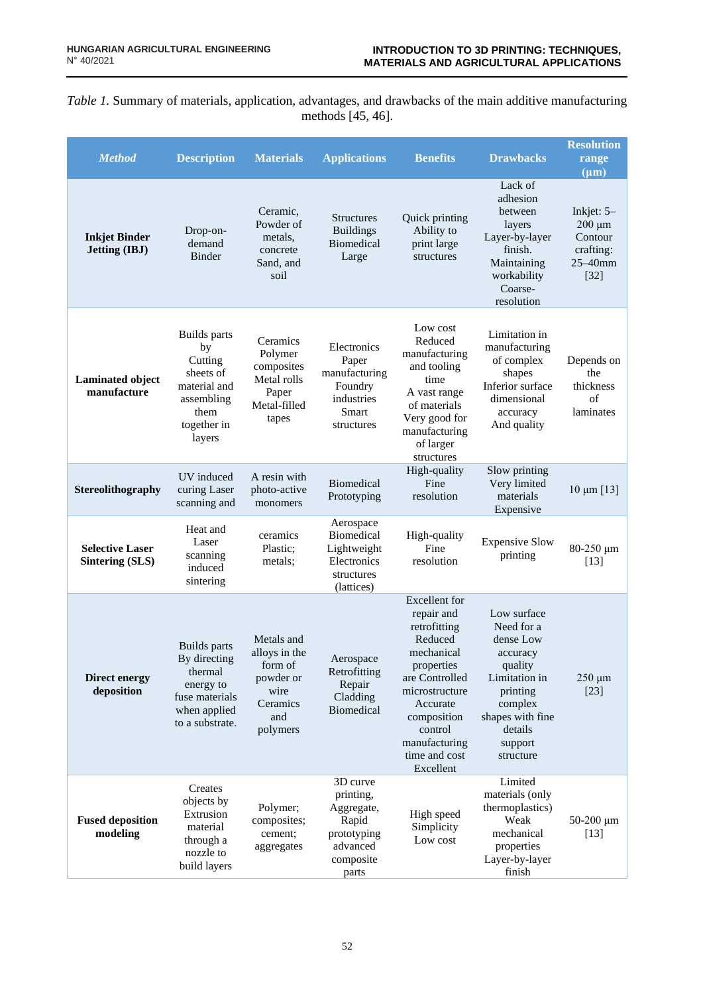*Table 1.* Summary of materials, application, advantages, and drawbacks of the main additive manufacturing methods [45, 46].

| <b>Method</b>                                    | <b>Description</b>                                                                                                                                                                                             | <b>Materials</b>                                                                                                                                                                                                                                                                                                                        | <b>Applications</b>                                                                           | <b>Benefits</b>                                                                                                                                                                                             | <b>Drawbacks</b>                                                                                                                                             | <b>Resolution</b><br>range<br>$(\mu m)$                                  |
|--------------------------------------------------|----------------------------------------------------------------------------------------------------------------------------------------------------------------------------------------------------------------|-----------------------------------------------------------------------------------------------------------------------------------------------------------------------------------------------------------------------------------------------------------------------------------------------------------------------------------------|-----------------------------------------------------------------------------------------------|-------------------------------------------------------------------------------------------------------------------------------------------------------------------------------------------------------------|--------------------------------------------------------------------------------------------------------------------------------------------------------------|--------------------------------------------------------------------------|
| <b>Inkjet Binder</b><br><b>Jetting (IBJ)</b>     | Drop-on-<br>demand<br>Binder                                                                                                                                                                                   | Ceramic,<br>Powder of<br>metals,<br>concrete<br>Sand, and<br>soil                                                                                                                                                                                                                                                                       | <b>Structures</b><br><b>Buildings</b><br><b>Biomedical</b><br>Large                           | Quick printing<br>Ability to<br>print large<br>structures                                                                                                                                                   | Lack of<br>adhesion<br>between<br>layers<br>Layer-by-layer<br>finish.<br>Maintaining<br>workability<br>Coarse-<br>resolution                                 | Inkjet: $5-$<br>$200 \mu m$<br>Contour<br>crafting:<br>25-40mm<br>$[32]$ |
| <b>Laminated object</b><br>manufacture           | <b>Builds</b> parts<br>by<br>Cutting<br>sheets of<br>material and<br>assembling<br>them<br>together in<br>layers                                                                                               | Low cost<br>Reduced<br>Ceramics<br>Electronics<br>Polymer<br>manufacturing<br>Paper<br>composites<br>and tooling<br>manufacturing<br>Metal rolls<br>time<br>Foundry<br>Paper<br>A vast range<br>industries<br>Metal-filled<br>of materials<br>Smart<br>Very good for<br>tapes<br>structures<br>manufacturing<br>of larger<br>structures |                                                                                               | Limitation in<br>manufacturing<br>of complex<br>shapes<br>Inferior surface<br>dimensional<br>accuracy<br>And quality                                                                                        | Depends on<br>the<br>thickness<br>of<br>laminates                                                                                                            |                                                                          |
| Stereolithography                                | UV induced<br>curing Laser<br>scanning and                                                                                                                                                                     | A resin with<br>photo-active<br>monomers                                                                                                                                                                                                                                                                                                | Biomedical<br>Prototyping                                                                     | High-quality<br>Fine<br>resolution                                                                                                                                                                          | Slow printing<br>Very limited<br>materials<br>Expensive                                                                                                      | $10 \mu m$ [13]                                                          |
| <b>Selective Laser</b><br><b>Sintering (SLS)</b> | Heat and<br>Laser<br>scanning<br>induced<br>sintering                                                                                                                                                          | ceramics<br>Plastic;<br>metals;                                                                                                                                                                                                                                                                                                         | Aerospace<br>Biomedical<br>Lightweight<br>Electronics<br>structures<br>(lattices)             | High-quality<br>Fine<br>resolution                                                                                                                                                                          | <b>Expensive Slow</b><br>printing                                                                                                                            | 80-250 μm<br>$[13]$                                                      |
| <b>Direct energy</b><br>deposition               | Metals and<br><b>Builds</b> parts<br>alloys in the<br>By directing<br>form of<br>thermal<br>powder or<br>energy to<br>wire<br>fuse materials<br>Ceramics<br>when applied<br>and<br>to a substrate.<br>polymers |                                                                                                                                                                                                                                                                                                                                         | Aerospace<br>Retrofitting<br>Repair<br>Cladding<br><b>Biomedical</b>                          | Excellent for<br>repair and<br>retrofitting<br>Reduced<br>mechanical<br>properties<br>are Controlled<br>microstructure<br>Accurate<br>composition<br>control<br>manufacturing<br>time and cost<br>Excellent | Low surface<br>Need for a<br>dense Low<br>accuracy<br>quality<br>Limitation in<br>printing<br>complex<br>shapes with fine<br>details<br>support<br>structure | $250 \mu m$<br>$[23]$                                                    |
| <b>Fused deposition</b><br>modeling              | Creates<br>objects by<br>Extrusion<br>material<br>through a<br>nozzle to<br>build layers                                                                                                                       | Polymer;<br>composites;<br>cement;<br>aggregates                                                                                                                                                                                                                                                                                        | 3D curve<br>printing,<br>Aggregate,<br>Rapid<br>prototyping<br>advanced<br>composite<br>parts | High speed<br>Simplicity<br>Low cost                                                                                                                                                                        | Limited<br>materials (only<br>thermoplastics)<br>Weak<br>mechanical<br>properties<br>Layer-by-layer<br>finish                                                | $50-200 \mu m$<br>$[13]$                                                 |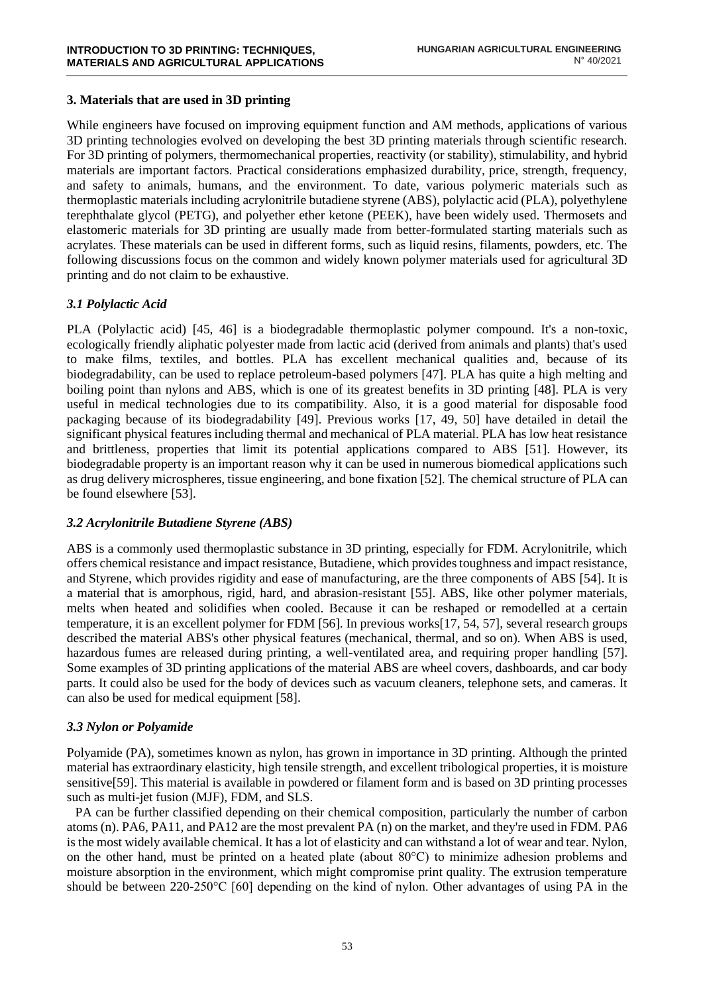#### **3. Materials that are used in 3D printing**

While engineers have focused on improving equipment function and AM methods, applications of various 3D printing technologies evolved on developing the best 3D printing materials through scientific research. For 3D printing of polymers, thermomechanical properties, reactivity (or stability), stimulability, and hybrid materials are important factors. Practical considerations emphasized durability, price, strength, frequency, and safety to animals, humans, and the environment. To date, various polymeric materials such as thermoplastic materials including acrylonitrile butadiene styrene (ABS), polylactic acid (PLA), polyethylene terephthalate glycol (PETG), and polyether ether ketone (PEEK), have been widely used. Thermosets and elastomeric materials for 3D printing are usually made from better-formulated starting materials such as acrylates. These materials can be used in different forms, such as liquid resins, filaments, powders, etc. The following discussions focus on the common and widely known polymer materials used for agricultural 3D printing and do not claim to be exhaustive.

#### *3.1 Polylactic Acid*

PLA (Polylactic acid) [45, 46] is a biodegradable thermoplastic polymer compound. It's a non-toxic, ecologically friendly aliphatic polyester made from lactic acid (derived from animals and plants) that's used to make films, textiles, and bottles. PLA has excellent mechanical qualities and, because of its biodegradability, can be used to replace petroleum-based polymers [47]. PLA has quite a high melting and boiling point than nylons and ABS, which is one of its greatest benefits in 3D printing [48]. PLA is very useful in medical technologies due to its compatibility. Also, it is a good material for disposable food packaging because of its biodegradability [49]. Previous works [17, 49, 50] have detailed in detail the significant physical features including thermal and mechanical of PLA material. PLA has low heat resistance and brittleness, properties that limit its potential applications compared to ABS [51]. However, its biodegradable property is an important reason why it can be used in numerous biomedical applications such as drug delivery microspheres, tissue engineering, and bone fixation [52]. The chemical structure of PLA can be found elsewhere [53].

## *3.2 Acrylonitrile Butadiene Styrene (ABS)*

ABS is a commonly used thermoplastic substance in 3D printing, especially for FDM. Acrylonitrile, which offers chemical resistance and impact resistance, Butadiene, which provides toughness and impact resistance, and Styrene, which provides rigidity and ease of manufacturing, are the three components of ABS [54]. It is a material that is amorphous, rigid, hard, and abrasion-resistant [55]. ABS, like other polymer materials, melts when heated and solidifies when cooled. Because it can be reshaped or remodelled at a certain temperature, it is an excellent polymer for FDM [56]. In previous works[17, 54, 57], several research groups described the material ABS's other physical features (mechanical, thermal, and so on). When ABS is used, hazardous fumes are released during printing, a well-ventilated area, and requiring proper handling [57]. Some examples of 3D printing applications of the material ABS are wheel covers, dashboards, and car body parts. It could also be used for the body of devices such as vacuum cleaners, telephone sets, and cameras. It can also be used for medical equipment [58].

## *3.3 Nylon or Polyamide*

Polyamide (PA), sometimes known as nylon, has grown in importance in 3D printing. Although the printed material has extraordinary elasticity, high tensile strength, and excellent tribological properties, it is moisture sensitive[59]. This material is available in powdered or filament form and is based on 3D printing processes such as multi-jet fusion (MJF), FDM, and SLS.

PA can be further classified depending on their chemical composition, particularly the number of carbon atoms (n). PA6, PA11, and PA12 are the most prevalent PA (n) on the market, and they're used in FDM. PA6 is the most widely available chemical. It has a lot of elasticity and can withstand a lot of wear and tear. Nylon, on the other hand, must be printed on a heated plate (about 80°C) to minimize adhesion problems and moisture absorption in the environment, which might compromise print quality. The extrusion temperature should be between 220-250°C [60] depending on the kind of nylon. Other advantages of using PA in the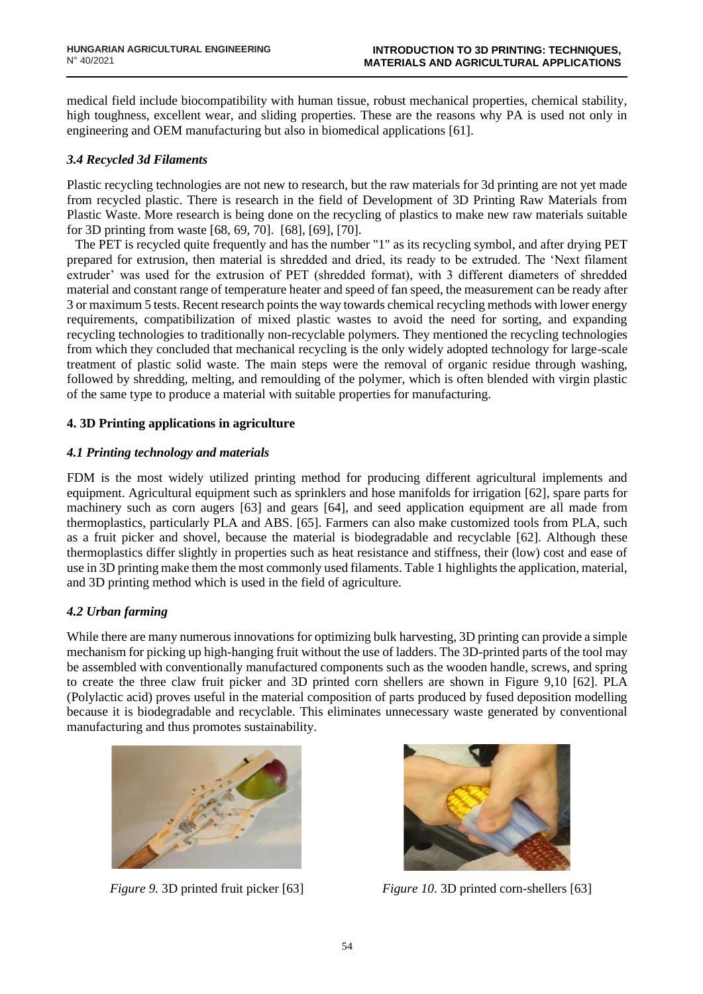medical field include biocompatibility with human tissue, robust mechanical properties, chemical stability, high toughness, excellent wear, and sliding properties. These are the reasons why PA is used not only in engineering and OEM manufacturing but also in biomedical applications [61].

#### *3.4 Recycled 3d Filaments*

Plastic recycling technologies are not new to research, but the raw materials for 3d printing are not yet made from recycled plastic. There is research in the field of Development of 3D Printing Raw Materials from Plastic Waste. More research is being done on the recycling of plastics to make new raw materials suitable for 3D printing from waste [68, 69, 70]. [68], [69], [70].

The PET is recycled quite frequently and has the number "1" as its recycling symbol, and after drying PET prepared for extrusion, then material is shredded and dried, its ready to be extruded. The 'Next filament extruder' was used for the extrusion of PET (shredded format), with 3 different diameters of shredded material and constant range of temperature heater and speed of fan speed, the measurement can be ready after 3 or maximum 5 tests. Recent research points the way towards chemical recycling methods with lower energy requirements, compatibilization of mixed plastic wastes to avoid the need for sorting, and expanding recycling technologies to traditionally non-recyclable polymers. They mentioned the recycling technologies from which they concluded that mechanical recycling is the only widely adopted technology for large-scale treatment of plastic solid waste. The main steps were the removal of organic residue through washing, followed by shredding, melting, and remoulding of the polymer, which is often blended with virgin plastic of the same type to produce a material with suitable properties for manufacturing.

#### **4. 3D Printing applications in agriculture**

#### *4.1 Printing technology and materials*

FDM is the most widely utilized printing method for producing different agricultural implements and equipment. Agricultural equipment such as sprinklers and hose manifolds for irrigation [62], spare parts for machinery such as corn augers [63] and gears [64], and seed application equipment are all made from thermoplastics, particularly PLA and ABS. [65]. Farmers can also make customized tools from PLA, such as a fruit picker and shovel, because the material is biodegradable and recyclable [62]. Although these thermoplastics differ slightly in properties such as heat resistance and stiffness, their (low) cost and ease of use in 3D printing make them the most commonly used filaments. Table 1 highlights the application, material, and 3D printing method which is used in the field of agriculture.

## *4.2 Urban farming*

While there are many numerous innovations for optimizing bulk harvesting, 3D printing can provide a simple mechanism for picking up high-hanging fruit without the use of ladders. The 3D-printed parts of the tool may be assembled with conventionally manufactured components such as the wooden handle, screws, and spring to create the three claw fruit picker and 3D printed corn shellers are shown in Figure 9,10 [62]. PLA (Polylactic acid) proves useful in the material composition of parts produced by fused deposition modelling because it is biodegradable and recyclable. This eliminates unnecessary waste generated by conventional manufacturing and thus promotes sustainability.





*Figure 9.* 3D printed fruit picker [63] *Figure 10*. 3D printed corn-shellers [63]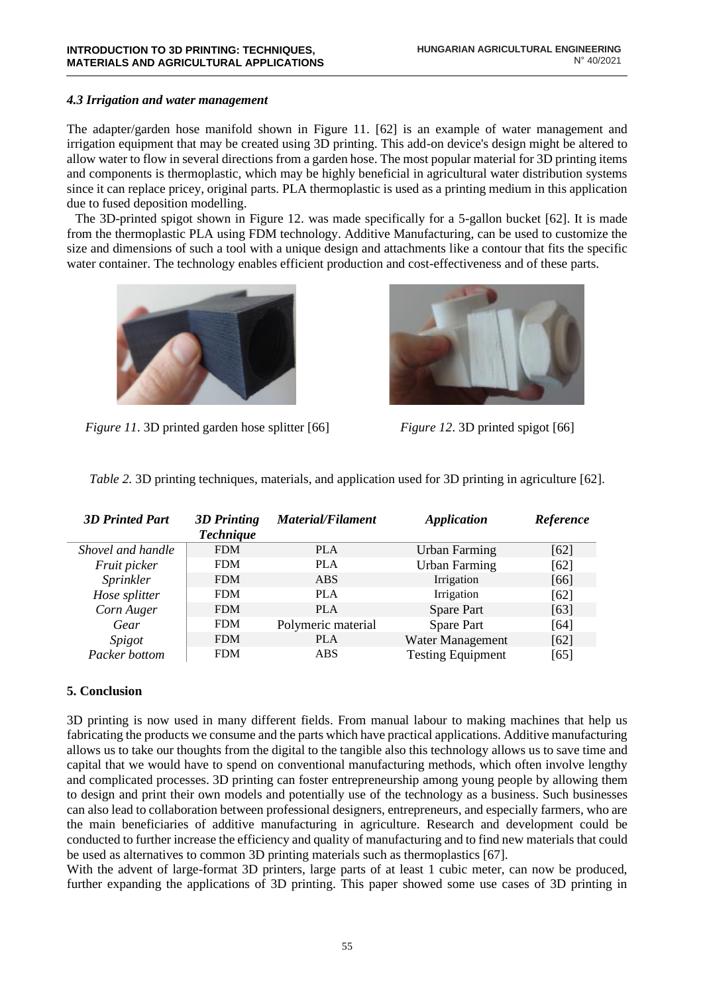#### *4.3 Irrigation and water management*

The adapter/garden hose manifold shown in Figure 11. [62] is an example of water management and irrigation equipment that may be created using 3D printing. This add-on device's design might be altered to allow water to flow in several directions from a garden hose. The most popular material for 3D printing items and components is thermoplastic, which may be highly beneficial in agricultural water distribution systems since it can replace pricey, original parts. PLA thermoplastic is used as a printing medium in this application due to fused deposition modelling.

The 3D-printed spigot shown in Figure 12. was made specifically for a 5-gallon bucket [62]. It is made from the thermoplastic PLA using FDM technology. Additive Manufacturing, can be used to customize the size and dimensions of such a tool with a unique design and attachments like a contour that fits the specific water container. The technology enables efficient production and cost-effectiveness and of these parts.



*Figure 11*. 3D printed garden hose splitter [66] *Figure 12*. 3D printed spigot [66]



|  | Table 2. 3D printing techniques, materials, and application used for 3D printing in agriculture [62]. |  |  |  |  |  |
|--|-------------------------------------------------------------------------------------------------------|--|--|--|--|--|
|  |                                                                                                       |  |  |  |  |  |

| <b>3D Printed Part</b> | <b>3D</b> Printing<br><b>Technique</b> | <b>Material/Filament</b> | <b>Application</b>       | Reference |
|------------------------|----------------------------------------|--------------------------|--------------------------|-----------|
| Shovel and handle      | <b>FDM</b>                             | <b>PLA</b>               | <b>Urban Farming</b>     | [62]      |
| Fruit picker           | <b>FDM</b>                             | PLA                      | <b>Urban Farming</b>     | [62]      |
| Sprinkler              | <b>FDM</b>                             | <b>ABS</b>               | Irrigation               | [66]      |
| Hose splitter          | <b>FDM</b>                             | <b>PLA</b>               | Irrigation               | [62]      |
| Corn Auger             | <b>FDM</b>                             | <b>PLA</b>               | <b>Spare Part</b>        | [63]      |
| Gear                   | <b>FDM</b>                             | Polymeric material       | <b>Spare Part</b>        | [64]      |
| Spigot                 | <b>FDM</b>                             | <b>PLA</b>               | Water Management         | [62]      |
| Packer bottom          | <b>FDM</b>                             | <b>ABS</b>               | <b>Testing Equipment</b> | [65]      |

#### **5. Conclusion**

3D printing is now used in many different fields. From manual labour to making machines that help us fabricating the products we consume and the parts which have practical applications. Additive manufacturing allows us to take our thoughts from the digital to the tangible also this technology allows us to save time and capital that we would have to spend on conventional manufacturing methods, which often involve lengthy and complicated processes. 3D printing can foster entrepreneurship among young people by allowing them to design and print their own models and potentially use of the technology as a business. Such businesses can also lead to collaboration between professional designers, entrepreneurs, and especially farmers, who are the main beneficiaries of additive manufacturing in agriculture. Research and development could be conducted to further increase the efficiency and quality of manufacturing and to find new materials that could be used as alternatives to common 3D printing materials such as thermoplastics [67].

With the advent of large-format 3D printers, large parts of at least 1 cubic meter, can now be produced, further expanding the applications of 3D printing. This paper showed some use cases of 3D printing in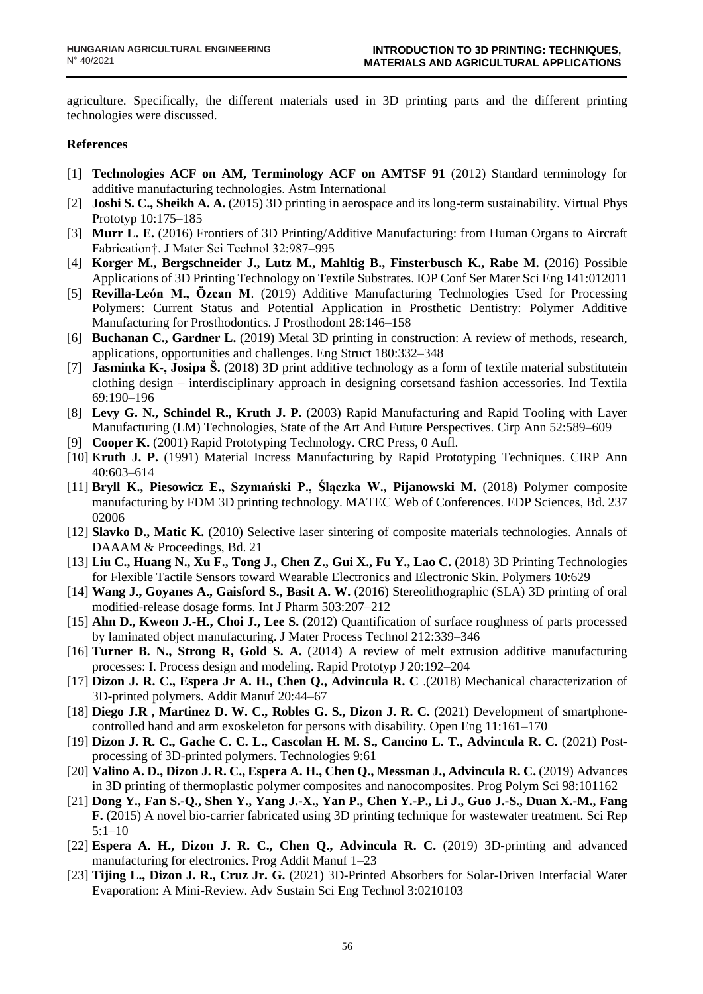agriculture. Specifically, the different materials used in 3D printing parts and the different printing technologies were discussed.

#### **References**

- [1] **Technologies ACF on AM, Terminology ACF on AMTSF 91** (2012) Standard terminology for additive manufacturing technologies. Astm International
- [2] **Joshi S. C., Sheikh A. A.** (2015) 3D printing in aerospace and its long-term sustainability. Virtual Phys Prototyp 10:175–185
- [3] **Murr L. E.** (2016) Frontiers of 3D Printing/Additive Manufacturing: from Human Organs to Aircraft Fabrication†. J Mater Sci Technol 32:987–995
- [4] **Korger M., Bergschneider J., Lutz M., Mahltig B., Finsterbusch K., Rabe M.** (2016) Possible Applications of 3D Printing Technology on Textile Substrates. IOP Conf Ser Mater Sci Eng 141:012011
- [5] **Revilla-León M., Özcan M**. (2019) Additive Manufacturing Technologies Used for Processing Polymers: Current Status and Potential Application in Prosthetic Dentistry: Polymer Additive Manufacturing for Prosthodontics. J Prosthodont 28:146–158
- [6] **Buchanan C., Gardner L.** (2019) Metal 3D printing in construction: A review of methods, research, applications, opportunities and challenges. Eng Struct 180:332–348
- [7] **Jasminka K-, Josipa Š.** (2018) 3D print additive technology as a form of textile material substitutein clothing design – interdisciplinary approach in designing corsetsand fashion accessories. Ind Textila 69:190–196
- [8] **Levy G. N., Schindel R., Kruth J. P.** (2003) Rapid Manufacturing and Rapid Tooling with Layer Manufacturing (LM) Technologies, State of the Art And Future Perspectives. Cirp Ann 52:589–609
- [9] **Cooper K.** (2001) Rapid Prototyping Technology. CRC Press, 0 Aufl.
- [10] K**ruth J. P.** (1991) Material Incress Manufacturing by Rapid Prototyping Techniques. CIRP Ann 40:603–614
- [11] **Bryll K., Piesowicz E., Szymański P., Ślączka W., Pijanowski M.** (2018) Polymer composite manufacturing by FDM 3D printing technology. MATEC Web of Conferences. EDP Sciences, Bd. 237 02006
- [12] **Slavko D., Matic K.** (2010) Selective laser sintering of composite materials technologies. Annals of DAAAM & Proceedings, Bd. 21
- [13] L**iu C., Huang N., Xu F., Tong J., Chen Z., Gui X., Fu Y., Lao C.** (2018) 3D Printing Technologies for Flexible Tactile Sensors toward Wearable Electronics and Electronic Skin. Polymers 10:629
- [14] **Wang J., Goyanes A., Gaisford S., Basit A. W.** (2016) Stereolithographic (SLA) 3D printing of oral modified-release dosage forms. Int J Pharm 503:207–212
- [15] **Ahn D., Kweon J.-H., Choi J., Lee S.** (2012) Quantification of surface roughness of parts processed by laminated object manufacturing. J Mater Process Technol 212:339–346
- [16] **Turner B. N., Strong R, Gold S. A.** (2014) A review of melt extrusion additive manufacturing processes: I. Process design and modeling. Rapid Prototyp J 20:192–204
- [17] **Dizon J. R. C., Espera Jr A. H., Chen Q., Advincula R. C** .(2018) Mechanical characterization of 3D-printed polymers. Addit Manuf 20:44–67
- [18] **Diego J.R , Martinez D. W. C., Robles G. S., Dizon J. R. C.** (2021) Development of smartphonecontrolled hand and arm exoskeleton for persons with disability. Open Eng 11:161–170
- [19] **Dizon J. R. C., Gache C. C. L., Cascolan H. M. S., Cancino L. T., Advincula R. C.** (2021) Postprocessing of 3D-printed polymers. Technologies 9:61
- [20] **Valino A. D., Dizon J. R. C., Espera A. H., Chen Q., Messman J., Advincula R. C.** (2019) Advances in 3D printing of thermoplastic polymer composites and nanocomposites. Prog Polym Sci 98:101162
- [21] **Dong Y., Fan S.-Q., Shen Y., Yang J.-X., Yan P., Chen Y.-P., Li J., Guo J.-S., Duan X.-M., Fang F.** (2015) A novel bio-carrier fabricated using 3D printing technique for wastewater treatment. Sci Rep 5:1–10
- [22] **Espera A. H., Dizon J. R. C., Chen Q., Advincula R. C.** (2019) 3D-printing and advanced manufacturing for electronics. Prog Addit Manuf 1–23
- [23] **Tijing L., Dizon J. R., Cruz Jr. G.** (2021) 3D-Printed Absorbers for Solar-Driven Interfacial Water Evaporation: A Mini-Review. Adv Sustain Sci Eng Technol 3:0210103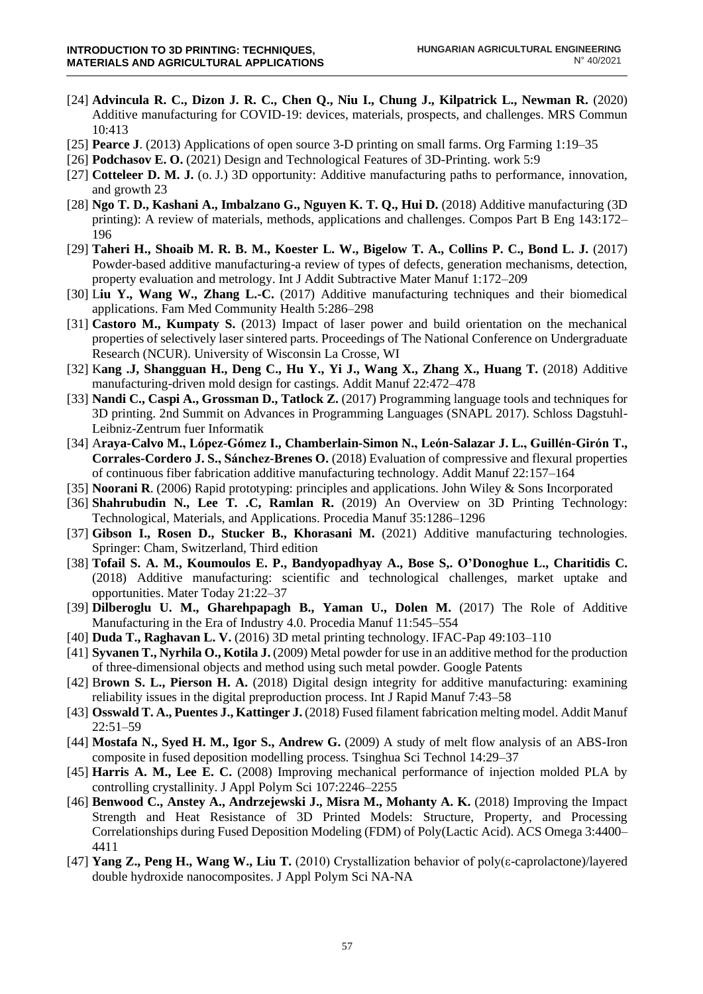- [24] **Advincula R. C., Dizon J. R. C., Chen Q., Niu I., Chung J., Kilpatrick L., Newman R.** (2020) Additive manufacturing for COVID-19: devices, materials, prospects, and challenges. MRS Commun 10:413
- [25] **Pearce J**. (2013) Applications of open source 3-D printing on small farms. Org Farming 1:19–35
- [26] **Podchasov E. O.** (2021) Design and Technological Features of 3D-Printing. work 5:9
- [27] **Cotteleer D. M. J.** (o. J.) 3D opportunity: Additive manufacturing paths to performance, innovation, and growth 23
- [28] **Ngo T. D., Kashani A., Imbalzano G., Nguyen K. T. Q., Hui D.** (2018) Additive manufacturing (3D printing): A review of materials, methods, applications and challenges. Compos Part B Eng 143:172– 196
- [29] **Taheri H., Shoaib M. R. B. M., Koester L. W., Bigelow T. A., Collins P. C., Bond L. J.** (2017) Powder-based additive manufacturing-a review of types of defects, generation mechanisms, detection, property evaluation and metrology. Int J Addit Subtractive Mater Manuf 1:172–209
- [30] L**iu Y., Wang W., Zhang L.-C.** (2017) Additive manufacturing techniques and their biomedical applications. Fam Med Community Health 5:286–298
- [31] **Castoro M., Kumpaty S.** (2013) Impact of laser power and build orientation on the mechanical properties of selectively laser sintered parts. Proceedings of The National Conference on Undergraduate Research (NCUR). University of Wisconsin La Crosse, WI
- [32] K**ang .J, Shangguan H., Deng C., Hu Y., Yi J., Wang X., Zhang X., Huang T.** (2018) Additive manufacturing-driven mold design for castings. Addit Manuf 22:472–478
- [33] **Nandi C., Caspi A., Grossman D., Tatlock Z.** (2017) Programming language tools and techniques for 3D printing. 2nd Summit on Advances in Programming Languages (SNAPL 2017). Schloss Dagstuhl-Leibniz-Zentrum fuer Informatik
- [34] A**raya-Calvo M., López-Gómez I., Chamberlain-Simon N., León-Salazar J. L., Guillén-Girón T., Corrales-Cordero J. S., Sánchez-Brenes O.** (2018) Evaluation of compressive and flexural properties of continuous fiber fabrication additive manufacturing technology. Addit Manuf 22:157–164
- [35] **Noorani R**. (2006) Rapid prototyping: principles and applications. John Wiley & Sons Incorporated
- [36] **Shahrubudin N., Lee T. .C, Ramlan R.** (2019) An Overview on 3D Printing Technology: Technological, Materials, and Applications. Procedia Manuf 35:1286–1296
- [37] **Gibson I., Rosen D., Stucker B., Khorasani M.** (2021) Additive manufacturing technologies. Springer: Cham, Switzerland, Third edition
- [38] **Tofail S. A. M., Koumoulos E. P., Bandyopadhyay A., Bose S,. O'Donoghue L., Charitidis C.** (2018) Additive manufacturing: scientific and technological challenges, market uptake and opportunities. Mater Today 21:22–37
- [39] **Dilberoglu U. M., Gharehpapagh B., Yaman U., Dolen M.** (2017) The Role of Additive Manufacturing in the Era of Industry 4.0. Procedia Manuf 11:545–554
- [40] **Duda T., Raghavan L. V.** (2016) 3D metal printing technology. IFAC-Pap 49:103–110
- [41] **Syvanen T., Nyrhila O., Kotila J.** (2009) Metal powder for use in an additive method for the production of three-dimensional objects and method using such metal powder. Google Patents
- [42] B**rown S. L., Pierson H. A.** (2018) Digital design integrity for additive manufacturing: examining reliability issues in the digital preproduction process. Int J Rapid Manuf 7:43–58
- [43] **Osswald T. A., Puentes J., Kattinger J.** (2018) Fused filament fabrication melting model. Addit Manuf 22:51–59
- [44] **Mostafa N., Syed H. M., Igor S., Andrew G.** (2009) A study of melt flow analysis of an ABS-Iron composite in fused deposition modelling process. Tsinghua Sci Technol 14:29–37
- [45] **Harris A. M., Lee E. C.** (2008) Improving mechanical performance of injection molded PLA by controlling crystallinity. J Appl Polym Sci 107:2246–2255
- [46] **Benwood C., Anstey A., Andrzejewski J., Misra M., Mohanty A. K.** (2018) Improving the Impact Strength and Heat Resistance of 3D Printed Models: Structure, Property, and Processing Correlationships during Fused Deposition Modeling (FDM) of Poly(Lactic Acid). ACS Omega 3:4400– 4411
- [47] **Yang Z., Peng H., Wang W., Liu T.** (2010) Crystallization behavior of poly(ε-caprolactone)/layered double hydroxide nanocomposites. J Appl Polym Sci NA-NA